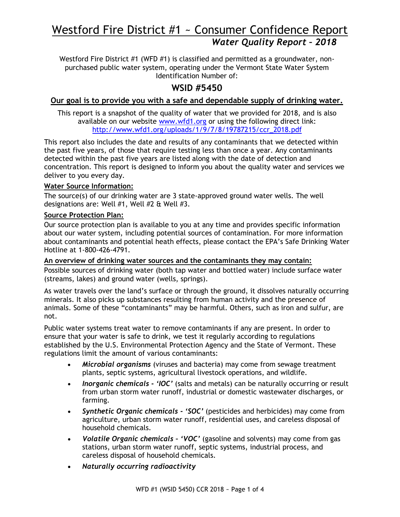# Westford Fire District #1 ~ Consumer Confidence Report *Water Quality Report – 2018*

Westford Fire District #1 (WFD #1) is classified and permitted as a groundwater, nonpurchased public water system, operating under the Vermont State Water System Identification Number of:

# **WSID #5450**

# **Our goal is to provide you with a safe and dependable supply of drinking water.**

This report is a snapshot of the quality of water that we provided for 2018, and is also available on our website [www.wfd1.org](http://www.wfd1.org/) or using the following direct link: [http://www.wfd1.org/uploads/1/9/7/8/19787215/ccr\\_2018.pdf](http://www.wfd1.org/uploads/1/9/7/8/19787215/ccr_2017.pdf)

This report also includes the date and results of any contaminants that we detected within the past five years, of those that require testing less than once a year. Any contaminants detected within the past five years are listed along with the date of detection and concentration. This report is designed to inform you about the quality water and services we deliver to you every day.

### **Water Source Information:**

The source(s) of our drinking water are 3 state-approved ground water wells. The well designations are: Well #1, Well #2 & Well #3.

# **Source Protection Plan:**

Our source protection plan is available to you at any time and provides specific information about our water system, including potential sources of contamination. For more information about contaminants and potential heath effects, please contact the EPA's Safe Drinking Water Hotline at 1-800-426-4791.

#### **An overview of drinking water sources and the contaminants they may contain:**

Possible sources of drinking water (both tap water and bottled water) include surface water (streams, lakes) and ground water (wells, springs).

As water travels over the land's surface or through the ground, it dissolves naturally occurring minerals. It also picks up substances resulting from human activity and the presence of animals. Some of these "contaminants" may be harmful. Others, such as iron and sulfur, are not.

Public water systems treat water to remove contaminants if any are present. In order to ensure that your water is safe to drink, we test it regularly according to regulations established by the U.S. Environmental Protection Agency and the State of Vermont. These regulations limit the amount of various contaminants:

- *Microbial organisms* (viruses and bacteria) may come from sewage treatment plants, septic systems, agricultural livestock operations, and wildlife.
- *Inorganic chemicals - 'IOC'* (salts and metals) can be naturally occurring or result from urban storm water runoff, industrial or domestic wastewater discharges, or farming.
- *Synthetic Organic chemicals - 'SOC'* (pesticides and herbicides) may come from agriculture, urban storm water runoff, residential uses, and careless disposal of household chemicals.
- *Volatile Organic chemicals – 'VOC'* (gasoline and solvents) may come from gas stations, urban storm water runoff, septic systems, industrial process, and careless disposal of household chemicals.
- *Naturally occurring radioactivity*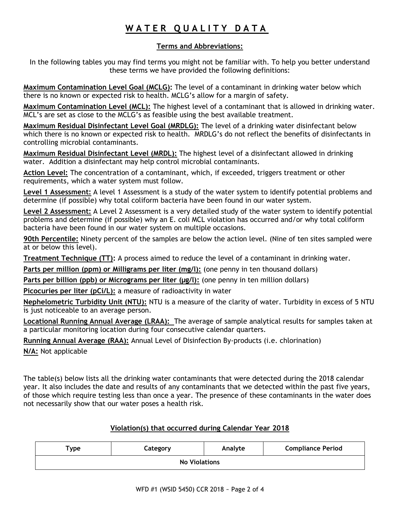# **W A T E R Q U A L I T Y D A T A**

# **Terms and Abbreviations:**

In the following tables you may find terms you might not be familiar with. To help you better understand these terms we have provided the following definitions:

**Maximum Contamination Level Goal (MCLG):** The level of a contaminant in drinking water below which there is no known or expected risk to health. MCLG's allow for a margin of safety.

**Maximum Contamination Level (MCL):** The highest level of a contaminant that is allowed in drinking water. MCL's are set as close to the MCLG's as feasible using the best available treatment.

**Maximum Residual Disinfectant Level Goal (MRDLG):** The level of a drinking water disinfectant below which there is no known or expected risk to health. MRDLG's do not reflect the benefits of disinfectants in controlling microbial contaminants.

**Maximum Residual Disinfectant Level (MRDL):** The highest level of a disinfectant allowed in drinking water. Addition a disinfectant may help control microbial contaminants.

**Action Level:** The concentration of a contaminant, which, if exceeded, triggers treatment or other requirements, which a water system must follow.

**Level 1 Assessment:** A level 1 Assessment is a study of the water system to identify potential problems and determine (if possible) why total coliform bacteria have been found in our water system.

**Level 2 Assessment:** A Level 2 Assessment is a very detailed study of the water system to identify potential problems and determine (if possible) why an E. coli MCL violation has occurred and/or why total coliform bacteria have been found in our water system on multiple occasions.

**90th Percentile:** Ninety percent of the samples are below the action level. (Nine of ten sites sampled were at or below this level).

**Treatment Technique (TT):** A process aimed to reduce the level of a contaminant in drinking water.

**Parts per million (ppm) or Milligrams per liter (mg/l):** (one penny in ten thousand dollars)

Parts per billion (ppb) or Micrograms per liter (µg/l): (one penny in ten million dollars)

**Picocuries per liter (pCi/L):** a measure of radioactivity in water

**Nephelometric Turbidity Unit (NTU):** NTU is a measure of the clarity of water. Turbidity in excess of 5 NTU is just noticeable to an average person.

**Locational Running Annual Average (LRAA):** The average of sample analytical results for samples taken at a particular monitoring location during four consecutive calendar quarters.

**Running Annual Average (RAA):** Annual Level of Disinfection By-products (i.e. chlorination)

**N/A:** Not applicable

The table(s) below lists all the drinking water contaminants that were detected during the 2018 calendar year. It also includes the date and results of any contaminants that we detected within the past five years, of those which require testing less than once a year. The presence of these contaminants in the water does not necessarily show that our water poses a health risk.

# **Violation(s) that occurred during Calendar Year 2018**

| $T$ ype              | Category | Analyte | <b>Compliance Period</b> |  |  |  |  |  |
|----------------------|----------|---------|--------------------------|--|--|--|--|--|
| <b>No Violations</b> |          |         |                          |  |  |  |  |  |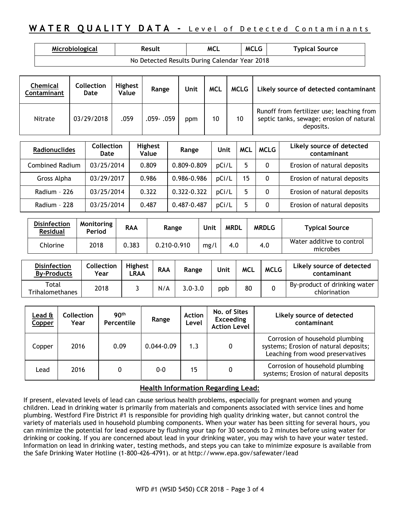# **WATER QUALITY DATA - Level of Detected Contaminants**

| Microbiological                               | Result | MCL | <b>MCLG</b> | <b>Typical Source</b> |  |  |  |  |  |
|-----------------------------------------------|--------|-----|-------------|-----------------------|--|--|--|--|--|
| No Detected Results During Calendar Year 2018 |        |     |             |                       |  |  |  |  |  |

| Chemical<br><b>Contaminant</b> | Collection<br>Date | <b>Highest</b><br>Value | Range       | Unit | <b>MCL</b> | MCLG | Likely source of detected contaminant                                                              |
|--------------------------------|--------------------|-------------------------|-------------|------|------------|------|----------------------------------------------------------------------------------------------------|
| Nitrate                        | 03/29/2018         | .059                    | .059 - .059 | ppm  | 10         | 10   | Runoff from fertilizer use; leaching from<br>septic tanks, sewage; erosion of natural<br>deposits. |

| <b>Radionuclides</b>   | <b>Collection</b><br>Date | <b>Highest</b><br>Value | Range       | Unit  | <b>MCL</b> | <b>MCLG</b> | Likely source of detected<br>contaminant |
|------------------------|---------------------------|-------------------------|-------------|-------|------------|-------------|------------------------------------------|
| <b>Combined Radium</b> | 03/25/2014                | 0.809                   | 0.809-0.809 | pCi/L |            | 0           | Erosion of natural deposits              |
| Gross Alpha            | 03/29/2017                | 0.986                   | 0.986-0.986 | pCi/L | 15         | 0           | Erosion of natural deposits              |
| Radium - 226           | 03/25/2014                | 0.322                   | 0.322-0.322 | pCi/L |            | 0           | Erosion of natural deposits              |
| Radium - 228           | 03/25/2014                | 0.487                   | 0.487-0.487 | pCi/L |            |             | Erosion of natural deposits              |

| <b>Disinfection</b><br><b>Residual</b> | Monitoring<br>Period | <b>RAA</b> | Range       | Unit | <b>MRDL</b> | <b>MRDLG</b> | <b>Typical Source</b>                 |
|----------------------------------------|----------------------|------------|-------------|------|-------------|--------------|---------------------------------------|
| Chlorine                               | 2018                 | 0.383      | 0.210-0.910 | mg/l | 4.0         | 4.0          | Water additive to control<br>microbes |

| <b>Disinfection</b><br><b>By-Products</b> | <b>Collection</b><br>Year | <b>Highest</b><br>.RAA | <b>RAA</b> | Range       | Unit | <b>MCL</b> | <b>MCLG</b> | Likely source of detected<br>contaminant     |
|-------------------------------------------|---------------------------|------------------------|------------|-------------|------|------------|-------------|----------------------------------------------|
| Total<br>Trihalomethanes                  | 2018                      |                        | N/A        | $3.0 - 3.0$ | ppb  | 80         |             | By-product of drinking water<br>chlorination |

| Lead ${\tt \hat{a}}$<br>Copper | <b>Collection</b><br>Year | 90 <sup>th</sup><br>Percentile | Range          | <b>Action</b><br>Level | No. of Sites<br><b>Exceeding</b><br><b>Action Level</b> | Likely source of detected<br>contaminant                                                                     |
|--------------------------------|---------------------------|--------------------------------|----------------|------------------------|---------------------------------------------------------|--------------------------------------------------------------------------------------------------------------|
| Copper                         | 2016                      | 0.09                           | $0.044 - 0.09$ | 1.3                    | 0                                                       | Corrosion of household plumbing<br>systems; Erosion of natural deposits;<br>Leaching from wood preservatives |
| Lead                           | 2016                      | 0                              | $0 - 0$        | 15                     | 0                                                       | Corrosion of household plumbing<br>systems; Erosion of natural deposits                                      |

#### **Health Information Regarding Lead:**

If present, elevated levels of lead can cause serious health problems, especially for pregnant women and young children. Lead in drinking water is primarily from materials and components associated with service lines and home plumbing. Westford Fire District #1 is responsible for providing high quality drinking water, but cannot control the variety of materials used in household plumbing components. When your water has been sitting for several hours, you can minimize the potential for lead exposure by flushing your tap for 30 seconds to 2 minutes before using water for drinking or cooking. If you are concerned about lead in your drinking water, you may wish to have your water tested. Information on lead in drinking water, testing methods, and steps you can take to minimize exposure is available from the Safe Drinking Water Hotline (1-800-426-4791). or at <http://www.epa.gov/safewater/lead>